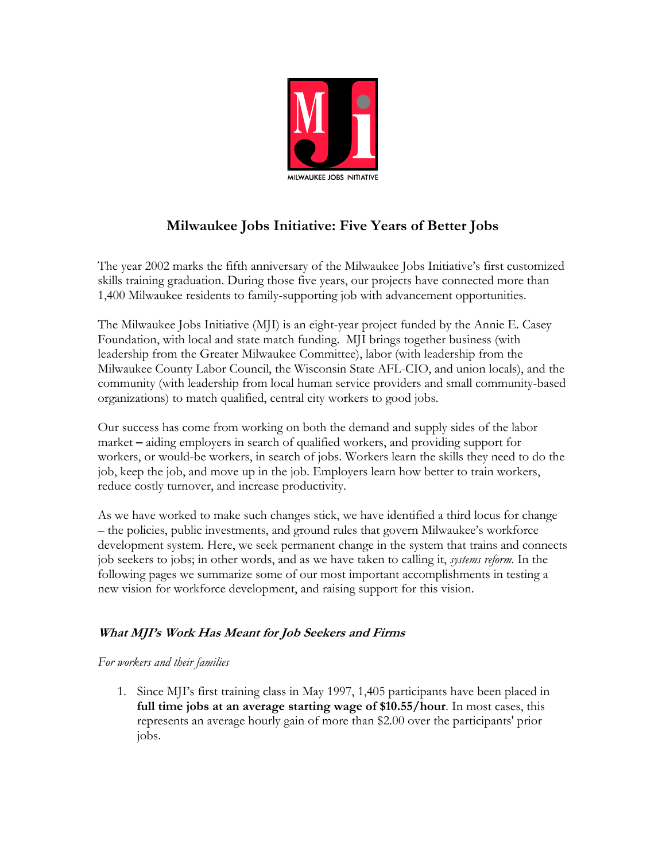

# **Milwaukee Jobs Initiative: Five Years of Better Jobs**

The year 2002 marks the fifth anniversary of the Milwaukee Jobs Initiative's first customized skills training graduation. During those five years, our projects have connected more than 1,400 Milwaukee residents to family-supporting job with advancement opportunities.

The Milwaukee Jobs Initiative (MJI) is an eight-year project funded by the Annie E. Casey Foundation, with local and state match funding. MJI brings together business (with leadership from the Greater Milwaukee Committee), labor (with leadership from the Milwaukee County Labor Council, the Wisconsin State AFL-CIO, and union locals), and the community (with leadership from local human service providers and small community-based organizations) to match qualified, central city workers to good jobs.

Our success has come from working on both the demand and supply sides of the labor market **–** aiding employers in search of qualified workers, and providing support for workers, or would-be workers, in search of jobs. Workers learn the skills they need to do the job, keep the job, and move up in the job. Employers learn how better to train workers, reduce costly turnover, and increase productivity.

As we have worked to make such changes stick, we have identified a third locus for change – the policies, public investments, and ground rules that govern Milwaukee's workforce development system. Here, we seek permanent change in the system that trains and connects job seekers to jobs; in other words, and as we have taken to calling it, *systems reform*. In the following pages we summarize some of our most important accomplishments in testing a new vision for workforce development, and raising support for this vision.

# **What MJI's Work Has Meant for Job Seekers and Firms**

## *For workers and their families*

1. Since MJI's first training class in May 1997, 1,405 participants have been placed in **full time jobs at an average starting wage of \$10.55/hour**. In most cases, this represents an average hourly gain of more than \$2.00 over the participants' prior jobs.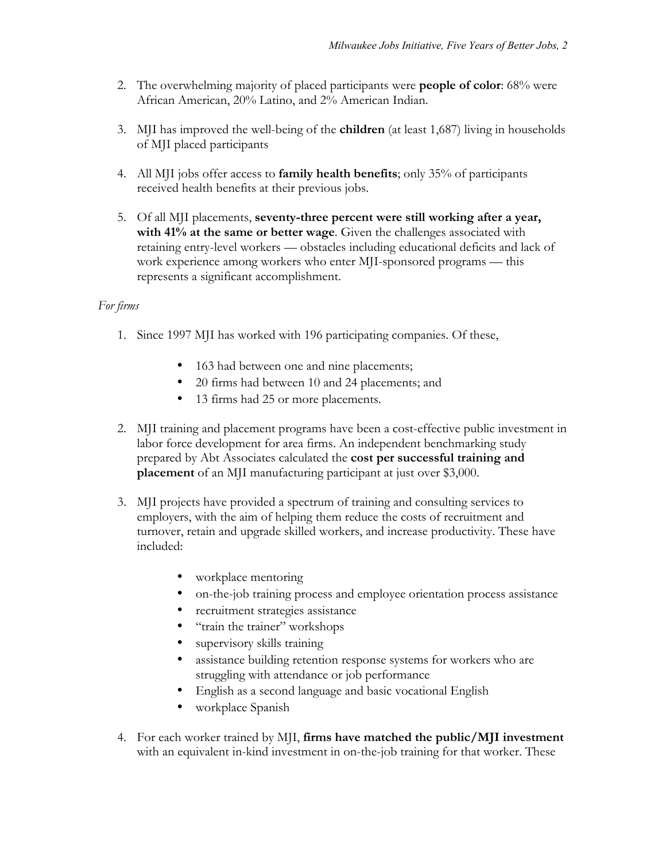- 2. The overwhelming majority of placed participants were **people of color**: 68% were African American, 20% Latino, and 2% American Indian.
- 3. MJI has improved the well-being of the **children** (at least 1,687) living in households of MJI placed participants
- 4. All MJI jobs offer access to **family health benefits**; only 35% of participants received health benefits at their previous jobs.
- 5. Of all MJI placements, **seventy-three percent were still working after a year, with 41% at the same or better wage**. Given the challenges associated with retaining entry-level workers — obstacles including educational deficits and lack of work experience among workers who enter MJI-sponsored programs — this represents a significant accomplishment.

# *For firms*

- 1. Since 1997 MJI has worked with 196 participating companies. Of these,
	- 163 had between one and nine placements;
	- 20 firms had between 10 and 24 placements; and
	- 13 firms had 25 or more placements.
- 2. MJI training and placement programs have been a cost-effective public investment in labor force development for area firms. An independent benchmarking study prepared by Abt Associates calculated the **cost per successful training and placement** of an MJI manufacturing participant at just over \$3,000.
- 3. MJI projects have provided a spectrum of training and consulting services to employers, with the aim of helping them reduce the costs of recruitment and turnover, retain and upgrade skilled workers, and increase productivity. These have included:
	- workplace mentoring
	- on-the-job training process and employee orientation process assistance
	- recruitment strategies assistance
	- "train the trainer" workshops
	- supervisory skills training
	- assistance building retention response systems for workers who are struggling with attendance or job performance
	- English as a second language and basic vocational English
	- workplace Spanish
- 4. For each worker trained by MJI, **firms have matched the public/MJI investment** with an equivalent in-kind investment in on-the-job training for that worker. These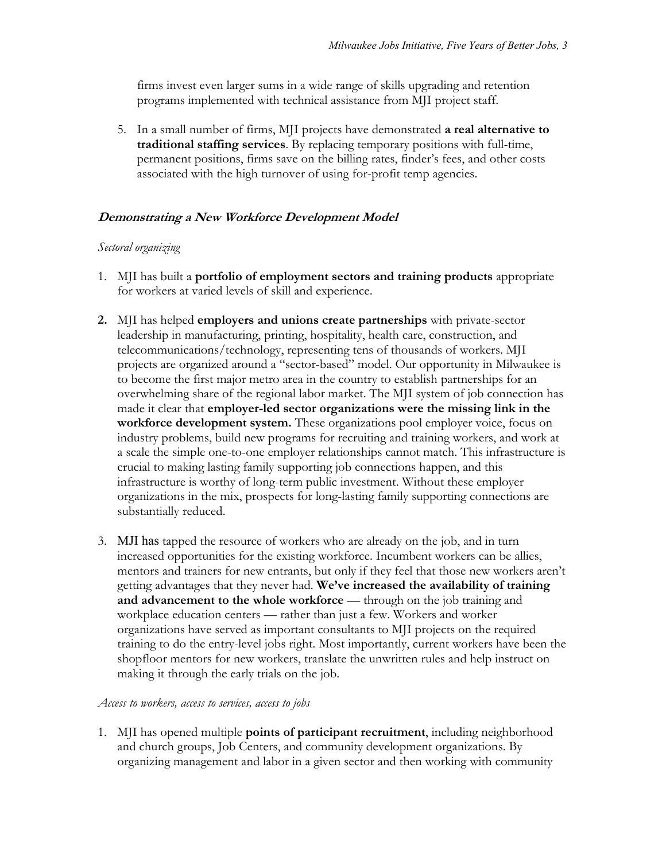firms invest even larger sums in a wide range of skills upgrading and retention programs implemented with technical assistance from MJI project staff.

5. In a small number of firms, MJI projects have demonstrated **a real alternative to traditional staffing services**. By replacing temporary positions with full-time, permanent positions, firms save on the billing rates, finder's fees, and other costs associated with the high turnover of using for-profit temp agencies.

## **Demonstrating a New Workforce Development Model**

#### *Sectoral organizing*

- 1. MJI has built a **portfolio of employment sectors and training products** appropriate for workers at varied levels of skill and experience.
- **2.** MJI has helped **employers and unions create partnerships** with private-sector leadership in manufacturing, printing, hospitality, health care, construction, and telecommunications/technology, representing tens of thousands of workers. MJI projects are organized around a "sector-based" model. Our opportunity in Milwaukee is to become the first major metro area in the country to establish partnerships for an overwhelming share of the regional labor market. The MJI system of job connection has made it clear that **employer-led sector organizations were the missing link in the workforce development system.** These organizations pool employer voice, focus on industry problems, build new programs for recruiting and training workers, and work at a scale the simple one-to-one employer relationships cannot match. This infrastructure is crucial to making lasting family supporting job connections happen, and this infrastructure is worthy of long-term public investment. Without these employer organizations in the mix, prospects for long-lasting family supporting connections are substantially reduced.
- 3. MJI has tapped the resource of workers who are already on the job, and in turn increased opportunities for the existing workforce. Incumbent workers can be allies, mentors and trainers for new entrants, but only if they feel that those new workers aren't getting advantages that they never had. **We've increased the availability of training**  and advancement to the whole workforce — through on the job training and workplace education centers — rather than just a few. Workers and worker organizations have served as important consultants to MJI projects on the required training to do the entry-level jobs right. Most importantly, current workers have been the shopfloor mentors for new workers, translate the unwritten rules and help instruct on making it through the early trials on the job.

#### *Access to workers, access to services, access to jobs*

1. MJI has opened multiple **points of participant recruitment**, including neighborhood and church groups, Job Centers, and community development organizations. By organizing management and labor in a given sector and then working with community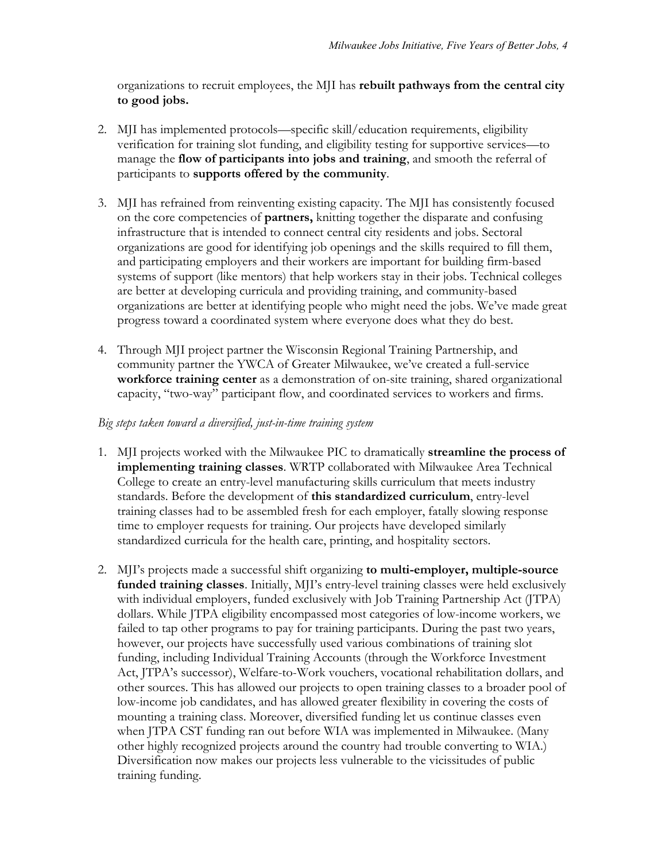organizations to recruit employees, the MJI has **rebuilt pathways from the central city to good jobs.**

- 2. MJI has implemented protocols—specific skill/education requirements, eligibility verification for training slot funding, and eligibility testing for supportive services—to manage the **flow of participants into jobs and training**, and smooth the referral of participants to **supports offered by the community**.
- 3. MJI has refrained from reinventing existing capacity. The MJI has consistently focused on the core competencies of **partners,** knitting together the disparate and confusing infrastructure that is intended to connect central city residents and jobs. Sectoral organizations are good for identifying job openings and the skills required to fill them, and participating employers and their workers are important for building firm-based systems of support (like mentors) that help workers stay in their jobs. Technical colleges are better at developing curricula and providing training, and community-based organizations are better at identifying people who might need the jobs. We've made great progress toward a coordinated system where everyone does what they do best.
- 4. Through MJI project partner the Wisconsin Regional Training Partnership, and community partner the YWCA of Greater Milwaukee, we've created a full-service **workforce training center** as a demonstration of on-site training, shared organizational capacity, "two-way" participant flow, and coordinated services to workers and firms.

#### *Big steps taken toward a diversified, just-in-time training system*

- 1. MJI projects worked with the Milwaukee PIC to dramatically **streamline the process of implementing training classes**. WRTP collaborated with Milwaukee Area Technical College to create an entry-level manufacturing skills curriculum that meets industry standards. Before the development of **this standardized curriculum**, entry-level training classes had to be assembled fresh for each employer, fatally slowing response time to employer requests for training. Our projects have developed similarly standardized curricula for the health care, printing, and hospitality sectors.
- 2. MJI's projects made a successful shift organizing **to multi-employer, multiple-source funded training classes**. Initially, MJI's entry-level training classes were held exclusively with individual employers, funded exclusively with Job Training Partnership Act (JTPA) dollars. While JTPA eligibility encompassed most categories of low-income workers, we failed to tap other programs to pay for training participants. During the past two years, however, our projects have successfully used various combinations of training slot funding, including Individual Training Accounts (through the Workforce Investment Act, JTPA's successor), Welfare-to-Work vouchers, vocational rehabilitation dollars, and other sources. This has allowed our projects to open training classes to a broader pool of low-income job candidates, and has allowed greater flexibility in covering the costs of mounting a training class. Moreover, diversified funding let us continue classes even when JTPA CST funding ran out before WIA was implemented in Milwaukee. (Many other highly recognized projects around the country had trouble converting to WIA.) Diversification now makes our projects less vulnerable to the vicissitudes of public training funding.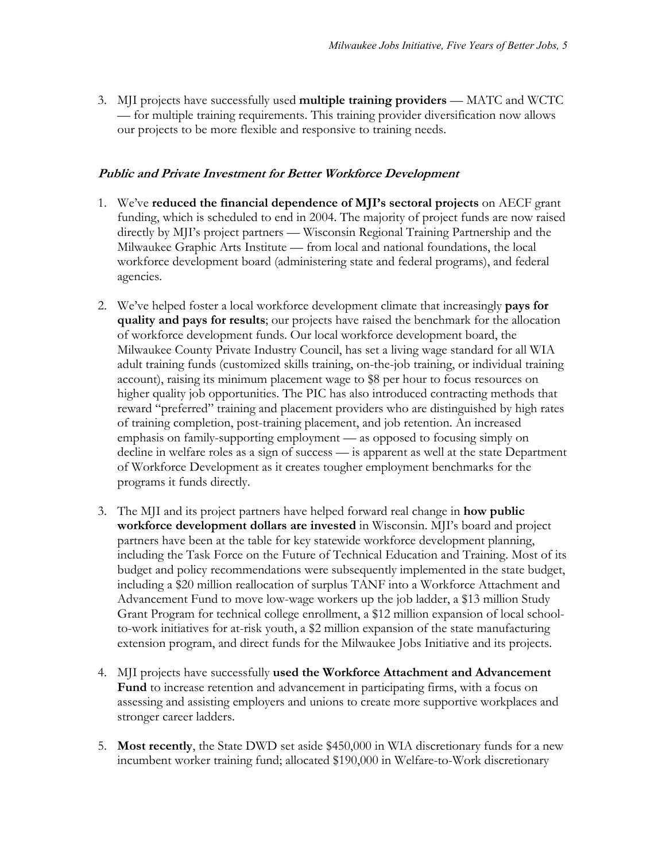3. MJI projects have successfully used **multiple training providers** — MATC and WCTC — for multiple training requirements. This training provider diversification now allows our projects to be more flexible and responsive to training needs.

## **Public and Private Investment for Better Workforce Development**

- 1. We've **reduced the financial dependence of MJI's sectoral projects** on AECF grant funding, which is scheduled to end in 2004. The majority of project funds are now raised directly by MJI's project partners — Wisconsin Regional Training Partnership and the Milwaukee Graphic Arts Institute — from local and national foundations, the local workforce development board (administering state and federal programs), and federal agencies.
- 2. We've helped foster a local workforce development climate that increasingly **pays for quality and pays for results**; our projects have raised the benchmark for the allocation of workforce development funds. Our local workforce development board, the Milwaukee County Private Industry Council, has set a living wage standard for all WIA adult training funds (customized skills training, on-the-job training, or individual training account), raising its minimum placement wage to \$8 per hour to focus resources on higher quality job opportunities. The PIC has also introduced contracting methods that reward "preferred" training and placement providers who are distinguished by high rates of training completion, post-training placement, and job retention. An increased emphasis on family-supporting employment — as opposed to focusing simply on decline in welfare roles as a sign of success — is apparent as well at the state Department of Workforce Development as it creates tougher employment benchmarks for the programs it funds directly.
- 3. The MJI and its project partners have helped forward real change in **how public workforce development dollars are invested** in Wisconsin. MJI's board and project partners have been at the table for key statewide workforce development planning, including the Task Force on the Future of Technical Education and Training. Most of its budget and policy recommendations were subsequently implemented in the state budget, including a \$20 million reallocation of surplus TANF into a Workforce Attachment and Advancement Fund to move low-wage workers up the job ladder, a \$13 million Study Grant Program for technical college enrollment, a \$12 million expansion of local schoolto-work initiatives for at-risk youth, a \$2 million expansion of the state manufacturing extension program, and direct funds for the Milwaukee Jobs Initiative and its projects.
- 4. MJI projects have successfully **used the Workforce Attachment and Advancement Fund** to increase retention and advancement in participating firms, with a focus on assessing and assisting employers and unions to create more supportive workplaces and stronger career ladders.
- 5. **Most recently**, the State DWD set aside \$450,000 in WIA discretionary funds for a new incumbent worker training fund; allocated \$190,000 in Welfare-to-Work discretionary